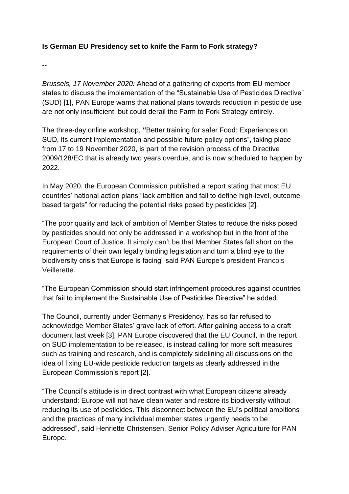### **Is German EU Presidency set to knife the Farm to Fork strategy?**

**--**

*Brussels, 17 November 2020:* Ahead of a gathering of experts from EU member states to discuss the implementation of the "Sustainable Use of Pesticides Directive" (SUD) [1], PAN Europe warns that national plans towards reduction in pesticide use are not only insufficient, but could derail the Farm to Fork Strategy entirely.

The three-day online workshop, **"**Better training for safer Food: Experiences on SUD, its current implementation and possible future policy options", taking place from 17 to 19 November 2020, is part of the revision process of the Directive 2009/128/EC that is already two years overdue, and is now scheduled to happen by 2022.

In May 2020, the European Commission published a report stating that most EU countries' national action plans "lack ambition and fail to define high-level, outcomebased targets" for reducing the potential risks posed by pesticides [2].

"The poor quality and lack of ambition of Member States to reduce the risks posed by pesticides should not only be addressed in a workshop but in the front of the European Court of Justice. It simply can't be that Member States fall short on the requirements of their own legally binding legislation and turn a blind eye to the biodiversity crisis that Europe is facing" said PAN Europe's president Francois Veillerette.

"The European Commission should start infringement procedures against countries that fail to implement the Sustainable Use of Pesticides Directive" he added.

The Council, currently under Germany's Presidency, has so far refused to acknowledge Member States' grave lack of effort. After gaining access to a draft document last week [3], PAN Europe discovered that the EU Council, in the report on SUD implementation to be released, is instead calling for more soft measures such as training and research, and is completely sidelining all discussions on the idea of fixing EU-wide pesticide reduction targets as clearly addressed in the European Commission's report [2].

"The Council's attitude is in direct contrast with what European citizens already understand: Europe will not have clean water and restore its biodiversity without reducing its use of pesticides. This disconnect between the EU's political ambitions and the practices of many individual member states urgently needs to be addressed", said Henriette Christensen, Senior Policy Adviser Agriculture for PAN Europe.